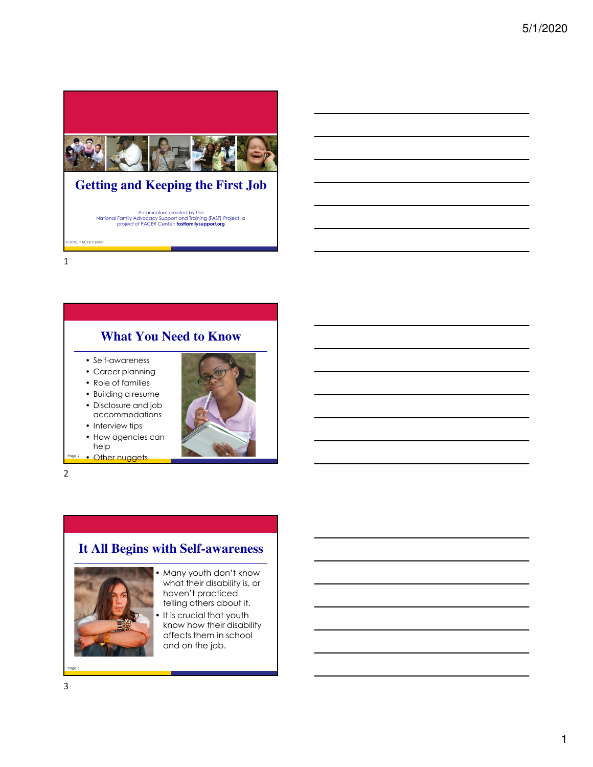

# **Getting and Keeping the First Job**

A curriculum created by the National Family Advocacy Support and Training (FAST) Project, a project of PACER Center: **fastfamilysupport.org**

**© 2010, PACER Center**

1

### **What You Need to Know**

- Self-awareness
- Career planning
- Role of families
- Building a resume • Disclosure and job
- accommodations
- Interview tips
- How agencies can help
- Page 2 Other nuggets

2

### **It All Begins with Self-awareness**



- Many youth don't know what their disability is, or haven't practiced telling others about it.
- It is crucial that youth know how their disability affects them in school and on the job.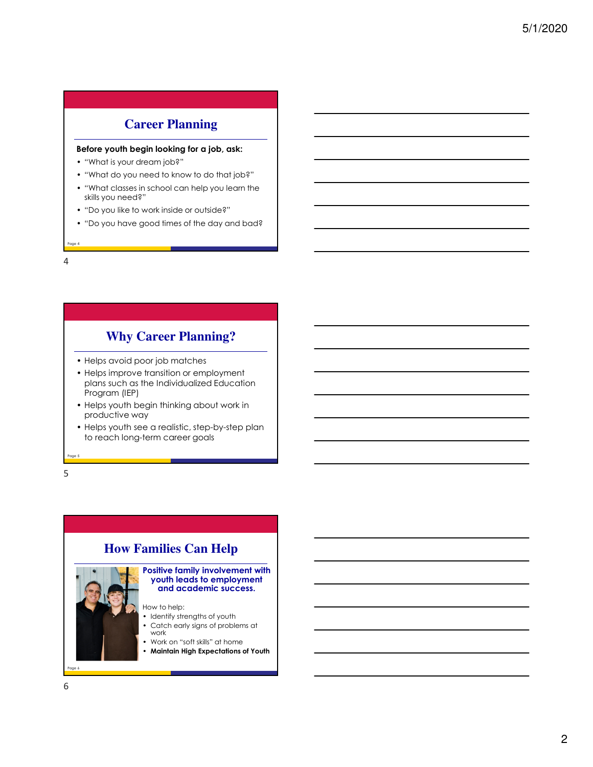# **Career Planning**

#### **Before youth begin looking for a job, ask:**

- "What is your dream job?"
- "What do you need to know to do that job?"
- "What classes in school can help you learn the skills you need?"
- "Do you like to work inside or outside?"
- "Do you have good times of the day and bad?

**Page 4**

4

**Why Career Planning?**

- Helps avoid poor job matches
- Helps improve transition or employment plans such as the Individualized Education Program (IEP)
- Helps youth begin thinking about work in productive way
- Helps youth see a realistic, step-by-step plan to reach long-term career goals

5

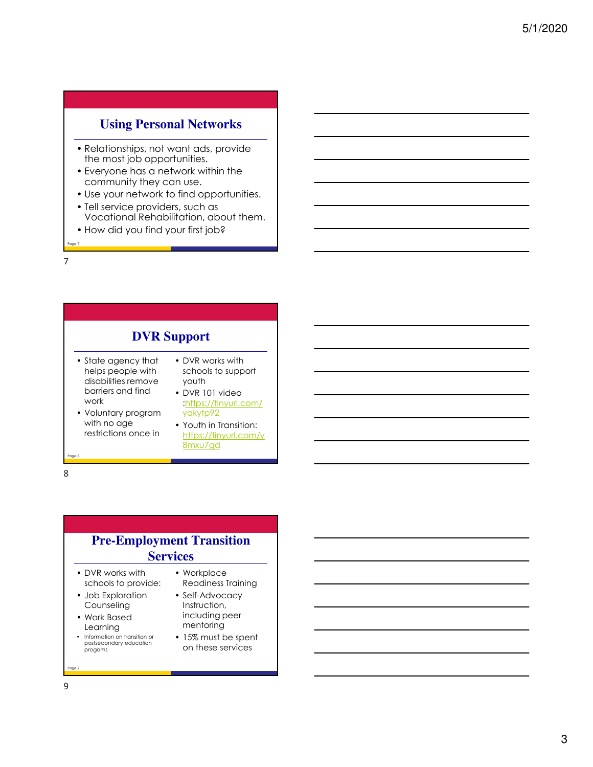#### **Using Personal Networks**

- Relationships, not want ads, provide the most job opportunities.
- Everyone has a network within the community they can use.
- Use your network to find opportunities.
- Tell service providers, such as Vocational Rehabilitation, about them.
- How did you find your first job?

**Page 7** 7

> **DVR Support** • State agency that helps people with disabilities remove barriers and find work • Voluntary program with no age restrictions once in • DVR works with schools to support youth • DVR 101 video :https://tinyurl.com/ yakytp92 • Youth in Transition: https://tinyurl.com/y 8mxu7gd

### **Pre-Employment Transition Services**

- DVR works with schools to provide:
- Job Exploration Counseling
- Work Based Learning
- Information on transition or postsecondary education progams
- Workplace Readiness Training • Self-Advocacy Instruction, including peer
- mentoring • 15% must be spent on these services

**Page 9**

**Page 8**

8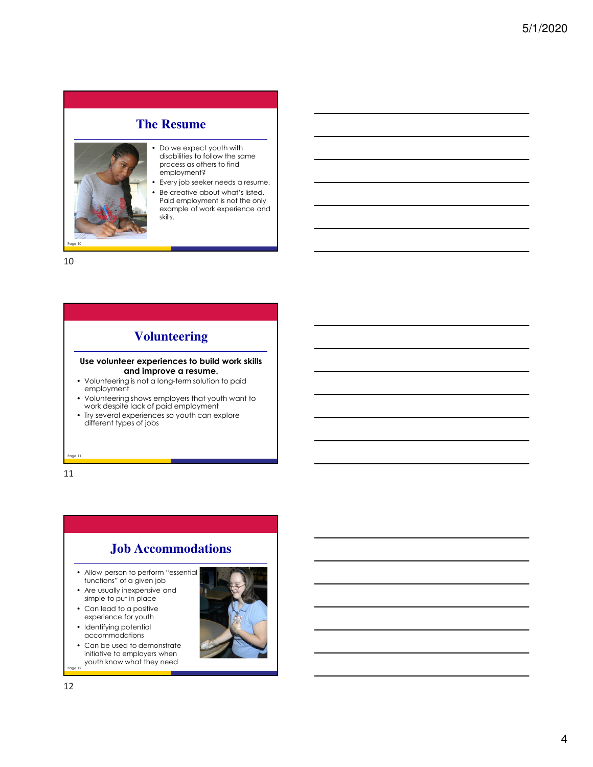#### **The Resume**



- Do we expect youth with disabilities to follow the same process as others to find employment?
- Every job seeker needs a resume. • Be creative about what's listed.
- Paid employment is not the only example of work experience and skills.

10

### **Volunteering**

#### **Use volunteer experiences to build work skills and improve a resume.**

- Volunteering is not a long-term solution to paid employment
- Volunteering shows employers that youth want to work despite lack of paid employment
- Try several experiences so youth can explore different types of jobs

**Page 11** 11

### **Job Accommodations**

- Allow person to perform "essential functions" of a given job
- Are usually inexpensive and simple to put in place
- Can lead to a positive experience for youth
- Identifying potential accommodations
- **Page 12** • Can be used to demonstrate initiative to employers when youth know what they need

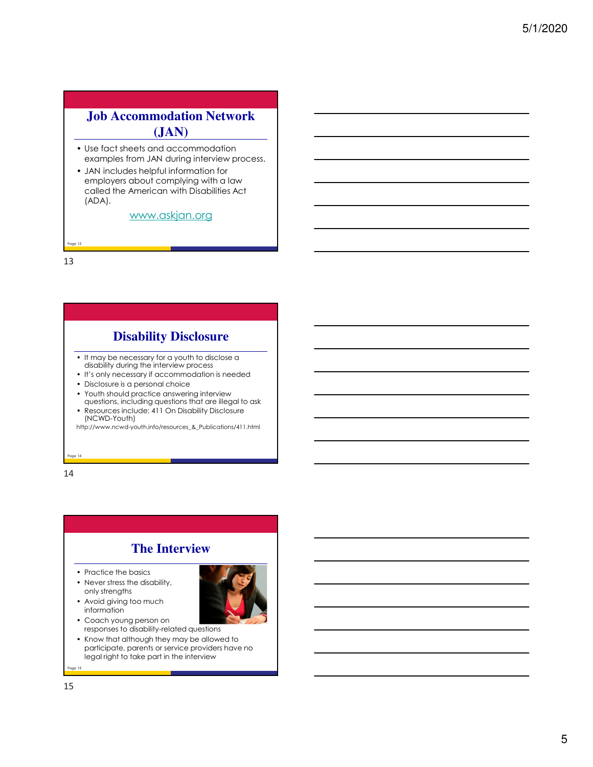# **Job Accommodation Network (JAN)**

- Use fact sheets and accommodation examples from JAN during interview process.
- JAN includes helpful information for employers about complying with a law called the American with Disabilities Act (ADA).

#### www.askjan.org

**Page 13** 13

# **Disability Disclosure**

- It may be necessary for a youth to disclose a disability during the interview process
- It's only necessary if accommodation is needed
- Disclosure is a personal choice
- Youth should practice answering interview
- questions, including questions that are illegal to ask • Resources include: 411 On Disability Disclosure (NCWD-Youth)

http://www.ncwd-youth.info/resources\_&\_Publications/411.html

**Page 14** 14

# **The Interview**

• Practice the basics

information

• Never stress the disability, only strengths • Avoid giving too much



- Coach young person on responses to disability-related questions
- Know that although they may be allowed to participate, parents or service providers have no legal right to take part in the interview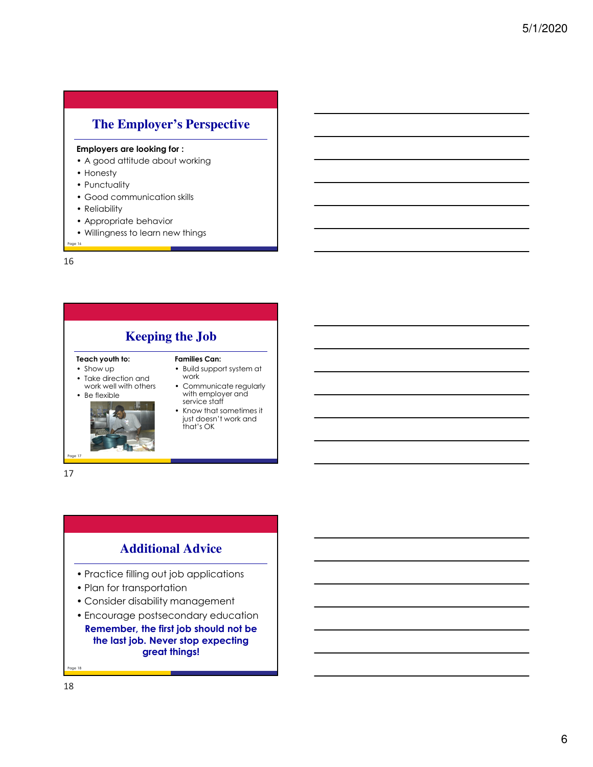## **The Employer's Perspective**

#### **Employers are looking for :**

- A good attitude about working
- Honesty
- Punctuality
- Good communication skills
- Reliability
- Appropriate behavior
- Willingness to learn new things

**Page 16** 16

**Keeping the Job**

#### **Teach youth to:**

- Show up
- Take direction and work well with others
- Be flexible



17

#### **Families Can:** • Build support system at

- work • Communicate regularly
- with employer and service staff
- Know that sometimes it just doesn't work and that's OK

### **Additional Advice**

- Practice filling out job applications
- Plan for transportation
- Consider disability management
- Encourage postsecondary education **Remember, the first job should not be the last job. Never stop expecting great things!**